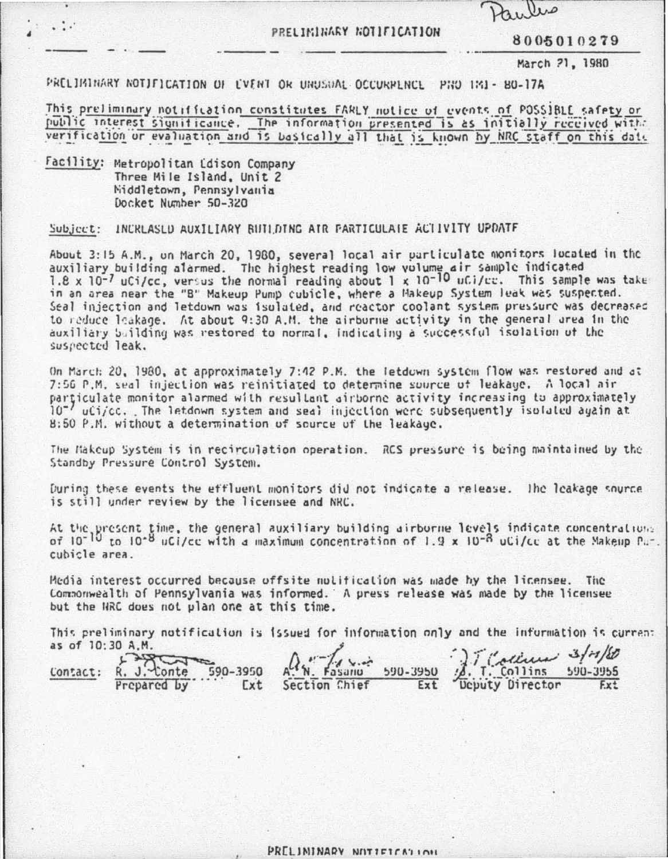## PRELIMINARY NOTIFICATION

8005010279

March 21, 1980

PRELIMINARY NOTIFICATION OF EVENT OR UNUSUAL OCCURPLNCL PHO 1M1- 80-17A

This preliminary notification constitutes FARLY notice of events of POSSIBLE safety or public interest significance. The information presented is as initially received with: verification or evaluation and is basically all that is known by NRC staff on this date

Facility: Metropolitan Ldison Company Three Mile Island, Unit 2 Middletown, Pennsylvania Docket Number 50-320

Subject: INCRLASLD AUXILIARY BUILDING AIR PARTICULATE ACTIVITY UPDATE

About 3:15 A.M., on March 20, 1980, several local air particulate monitors located in the auxiliary building alarmed. The highest reading low volume air sample indicated<br>1.8 x 10<sup>-7</sup> uCi/cc, versus the normal reading about 1 x 10<sup>-10</sup> uCi/cc. This sample was take in an area near the "B" Makeup Pump cubicle, where a Makeup System leak was suspected. Seal injection and letdown was isolated, and reactor coolant system pressure was decreased to reduce leakage. At about 9:30 A.M. the airburne activity in the general area in the auxiliary building was restored to normal, indicating a successful isolation of the suspected leak.

On March: 20, 1980, at approximately 7:42 P.M. the letdown system flow was restored and at 7:56 P.M. seal injection was reinitiated to determine source of leakage. A local air particulate monitor alarmed with resultant airborne activity increasing to approximately  $10^{-7}$  uCi/cc. The letdown system and seal injection were subsequently isolated again at 8:50 P.M. without a determination of source of the leakage.

The Makcup System is in recirculation operation. RCS pressure is being maintained by the Standby Pressure Control System.

During these events the effluent monitors did not indicate a release. The leakage source is still under review by the licensee and NRC.

At the present time, the general auxiliary building airborne levels indicate concentralions of  $10^{-10}$  to  $10^{-8}$  uCi/cc with a maximum concentration of 1.9 x  $10^{-8}$  uCi/cc at the Makeup Par. cubicle area.

Media interest occurred because offsite notification was made by the licensee. The Commonwealth of Pennsylvania was informed. A press release was made by the licensee but the HRC does not plan one at this time.

This preliminary notification is issued for information only and the information is current as of 10:30 A.M.

 $\int_{\text{Deputy}}^{} \frac{1}{\sqrt{1-\frac{1}{1-\frac{1}{1-\frac{1}{1-\frac{1}{1-\frac{1}{1-\frac{1}{1-\frac{1}{1-\frac{1}{1-\frac{1}{1-\frac{1}{1-\frac{1}{1-\frac{1}{1-\frac{1}{1-\frac{1}{1-\frac{1}{1-\frac{1}{1-\frac{1}{1-\frac{1}{1-\frac{1}{1-\frac{1}{1-\frac{1}{1-\frac{1}{1-\frac{1}{1-\frac{1}{1-\frac{1}{1-\frac{1}{1-\frac{1}{1-\frac{1}{1-\frac{1}{1-\frac{1}{1-\frac{1}{1-\frac{1}{1-\frac{1}{1-\$  $R. J. Conte 590-3950$ <br>Prepared by Ext  $4.4.4$ Fasano 590-3950 Contact: **Ext** Section Chief Ext